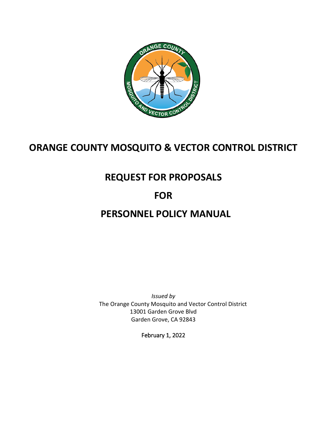

# **ORANGE COUNTY MOSQUITO & VECTOR CONTROL DISTRICT**

# **REQUEST FOR PROPOSALS**

# **FOR**

# **PERSONNEL POLICY MANUAL**

*Issued by*  The Orange County Mosquito and Vector Control District 13001 Garden Grove Blvd Garden Grove, CA 92843

February 1, 2022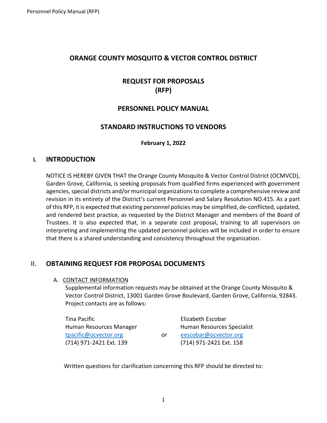# **ORANGE COUNTY MOSQUITO & VECTOR CONTROL DISTRICT**

# **REQUEST FOR PROPOSALS (RFP)**

# **PERSONNEL POLICY MANUAL**

# **STANDARD INSTRUCTIONS TO VENDORS**

#### **February 1, 2022**

## **I. INTRODUCTION**

NOTICE IS HEREBY GIVEN THAT the Orange County Mosquito & Vector Control District (OCMVCD), Garden Grove, California, is seeking proposals from qualified firms experienced with government agencies, special districts and/or municipal organizations to complete a comprehensive review and revision in its entirety of the District's current Personnel and Salary Resolution NO.415. As a part of this RFP, it is expected that existing personnel policies may be simplified, de-conflicted, updated, and rendered best practice, as requested by the District Manager and members of the Board of Trustees. It is also expected that, in a separate cost proposal, training to all supervisors on interpreting and implementing the updated personnel policies will be included in order to ensure that there is a shared understanding and consistency throughout the organization.

# II. **OBTAINING REQUEST FOR PROPOSAL DOCUMENTS**

A. CONTACT INFORMATION

Supplemental information requests may be obtained at the Orange County Mosquito & Vector Control District, 13001 Garden Grove Boulevard, Garden Grove, California, 92843. Project contacts are as follows:

| Tina Pacific            |    | Elizabeth Escobar          |
|-------------------------|----|----------------------------|
| Human Resources Manager |    | Human Resources Specialist |
| tpacific@ocvector.org   | or | eescobar@ocvector.org      |
| (714) 971-2421 Ext. 139 |    | (714) 971-2421 Ext. 158    |

Written questions for clarification concerning this RFP should be directed to: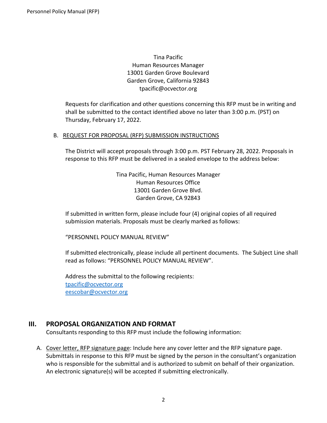Tina Pacific Human Resources Manager 13001 Garden Grove Boulevard Garden Grove, California 92843 tpacific@ocvector.org

Requests for clarification and other questions concerning this RFP must be in writing and shall be submitted to the contact identified above no later than 3:00 p.m. (PST) on Thursday, February 17, 2022.

#### B. REQUEST FOR PROPOSAL (RFP) SUBMISSION INSTRUCTIONS

The District will accept proposals through 3:00 p.m. PST February 28, 2022. Proposals in response to this RFP must be delivered in a sealed envelope to the address below:

> Tina Pacific, Human Resources Manager Human Resources Office 13001 Garden Grove Blvd. Garden Grove, CA 92843

If submitted in written form, please include four (4) original copies of all required submission materials. Proposals must be clearly marked as follows:

"PERSONNEL POLICY MANUAL REVIEW"

If submitted electronically, please include all pertinent documents. The Subject Line shall read as follows: "PERSONNEL POLICY MANUAL REVIEW".

Address the submittal to the following recipients: [tpacific@ocvector.org](mailto:tpacific@ocvector.org) [eescobar@ocvector.org](mailto:eescobar@ocvector.org)

# **III. PROPOSAL ORGANIZATION AND FORMAT**

Consultants responding to this RFP must include the following information:

A. Cover letter, RFP signature page: Include here any cover letter and the RFP signature page. Submittals in response to this RFP must be signed by the person in the consultant's organization who is responsible for the submittal and is authorized to submit on behalf of their organization. An electronic signature(s) will be accepted if submitting electronically.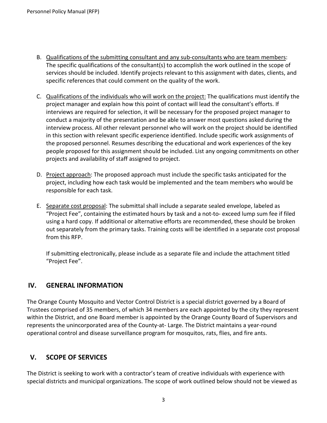- B. Qualifications of the submitting consultant and any sub-consultants who are team members: The specific qualifications of the consultant(s) to accomplish the work outlined in the scope of services should be included. Identify projects relevant to this assignment with dates, clients, and specific references that could comment on the quality of the work.
- C. Qualifications of the individuals who will work on the project: The qualifications must identify the project manager and explain how this point of contact will lead the consultant's efforts. If interviews are required for selection, it will be necessary for the proposed project manager to conduct a majority of the presentation and be able to answer most questions asked during the interview process. All other relevant personnel who will work on the project should be identified in this section with relevant specific experience identified. Include specific work assignments of the proposed personnel. Resumes describing the educational and work experiences of the key people proposed for this assignment should be included. List any ongoing commitments on other projects and availability of staff assigned to project.
- D. Project approach: The proposed approach must include the specific tasks anticipated for the project, including how each task would be implemented and the team members who would be responsible for each task.
- E. Separate cost proposal: The submittal shall include a separate sealed envelope, labeled as "Project Fee", containing the estimated hours by task and a not-to- exceed lump sum fee if filed using a hard copy. If additional or alternative efforts are recommended, these should be broken out separately from the primary tasks. Training costs will be identified in a separate cost proposal from this RFP.

If submitting electronically, please include as a separate file and include the attachment titled "Project Fee".

# **IV. GENERAL INFORMATION**

The Orange County Mosquito and Vector Control District is a special district governed by a Board of Trustees comprised of 35 members, of which 34 members are each appointed by the city they represent within the District, and one Board member is appointed by the Orange County Board of Supervisors and represents the unincorporated area of the County-at- Large. The District maintains a year-round operational control and disease surveillance program for mosquitos, rats, flies, and fire ants.

# **V. SCOPE OF SERVICES**

The District is seeking to work with a contractor's team of creative individuals with experience with special districts and municipal organizations. The scope of work outlined below should not be viewed as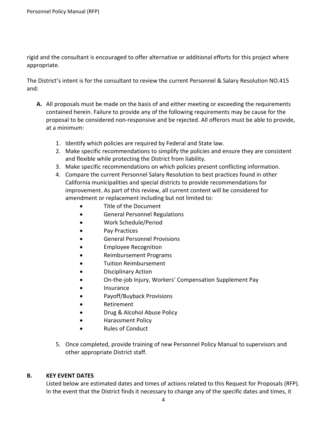rigid and the consultant is encouraged to offer alternative or additional efforts for this project where appropriate.

The District's intent is for the consultant to review the current Personnel & Salary Resolution NO.415 and:

- **A.** All proposals must be made on the basis of and either meeting or exceeding the requirements contained herein. Failure to provide any of the following requirements may be cause for the proposal to be considered non-responsive and be rejected. All offerors must be able to provide, at a minimum:
	- 1. Identify which policies are required by Federal and State law.
	- 2. Make specific recommendations to simplify the policies and ensure they are consistent and flexible while protecting the District from liability.
	- 3. Make specific recommendations on which policies present conflicting information.
	- 4. Compare the current Personnel Salary Resolution to best practices found in other California municipalities and special districts to provide recommendations for improvement. As part of this review, all current content will be considered for amendment or replacement including but not limited to:
		- Title of the Document
		- General Personnel Regulations
		- Work Schedule/Period
		- Pay Practices
		- General Personnel Provisions
		- Employee Recognition
		- Reimbursement Programs
		- Tuition Reimbursement
		- Disciplinary Action
		- On-the-job Injury, Workers' Compensation Supplement Pay
		- **Insurance**
		- Payoff/Buyback Provisions
		- **Retirement**
		- Drug & Alcohol Abuse Policy
		- Harassment Policy
		- Rules of Conduct
	- 5. Once completed, provide training of new Personnel Policy Manual to supervisors and other appropriate District staff.

## **B. KEY EVENT DATES**

Listed below are estimated dates and times of actions related to this Request for Proposals (RFP). In the event that the District finds it necessary to change any of the specific dates and times, it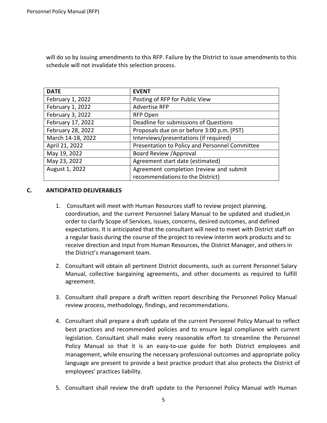will do so by issuing amendments to this RFP. Failure by the District to issue amendments to this schedule will not invalidate this selection process.

| <b>DATE</b>       | <b>EVENT</b>                                   |
|-------------------|------------------------------------------------|
| February 1, 2022  | Posting of RFP for Public View                 |
| February 1, 2022  | <b>Advertise RFP</b>                           |
| February 3, 2022  | <b>RFP Open</b>                                |
| February 17, 2022 | Deadline for submissions of Questions          |
| February 28, 2022 | Proposals due on or before 3:00 p.m. (PST)     |
| March 14-18, 2022 | Interviews/presentations (if required)         |
| April 21, 2022    | Presentation to Policy and Personnel Committee |
| May 19, 2022      | Board Review / Approval                        |
| May 23, 2022      | Agreement start date (estimated)               |
| August 1, 2022    | Agreement completion (review and submit        |
|                   | recommendations to the District)               |

#### **C. ANTICIPATED DELIVERABLES**

- 1. Consultant will meet with Human Resources staff to review project planning, coordination, and the current Personnel Salary Manual to be updated and studied,in order to clarify Scope of Services, issues, concerns, desired outcomes, and defined expectations. It is anticipated that the consultant will need to meet with District staff on a regular basis during the course of the project to review interim work products and to receive direction and input from Human Resources, the District Manager, and others in the District's management team.
- 2. Consultant will obtain all pertinent District documents, such as current Personnel Salary Manual, collective bargaining agreements, and other documents as required to fulfill agreement.
- 3. Consultant shall prepare a draft written report describing the Personnel Policy Manual review process, methodology, findings, and recommendations.
- 4. Consultant shall prepare a draft update of the current Personnel Policy Manual to reflect best practices and recommended policies and to ensure legal compliance with current legislation. Consultant shall make every reasonable effort to streamline the Personnel Policy Manual so that it is an easy-to-use guide for both District employees and management, while ensuring the necessary professional outcomes and appropriate policy language are present to provide a best practice product that also protects the District of employees' practices liability.
- 5. Consultant shall review the draft update to the Personnel Policy Manual with Human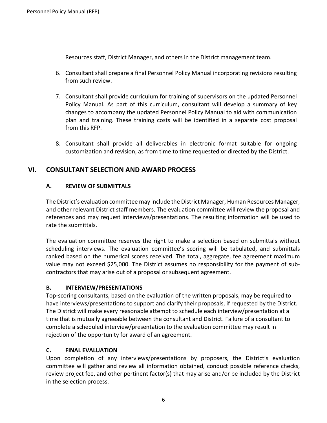Resources staff, District Manager, and others in the District management team.

- 6. Consultant shall prepare a final Personnel Policy Manual incorporating revisions resulting from such review.
- 7. Consultant shall provide curriculum for training of supervisors on the updated Personnel Policy Manual. As part of this curriculum, consultant will develop a summary of key changes to accompany the updated Personnel Policy Manual to aid with communication plan and training. These training costs will be identified in a separate cost proposal from this RFP.
- 8. Consultant shall provide all deliverables in electronic format suitable for ongoing customization and revision, as from time to time requested or directed by the District.

# **VI. CONSULTANT SELECTION AND AWARD PROCESS**

## **A. REVIEW OF SUBMITTALS**

The District's evaluation committee may include the District Manager, Human Resources Manager, and other relevant District staff members. The evaluation committee will review the proposal and references and may request interviews/presentations. The resulting information will be used to rate the submittals.

The evaluation committee reserves the right to make a selection based on submittals without scheduling interviews. The evaluation committee's scoring will be tabulated, and submittals ranked based on the numerical scores received. The total, aggregate, fee agreement maximum value may not exceed \$25,000. The District assumes no responsibility for the payment of subcontractors that may arise out of a proposal or subsequent agreement.

#### **B. INTERVIEW/PRESENTATIONS**

Top-scoring consultants, based on the evaluation of the written proposals, may be required to have interviews/presentations to support and clarify their proposals, if requested by the District. The District will make every reasonable attempt to schedule each interview/presentation at a time that is mutually agreeable between the consultant and District. Failure of a consultant to complete a scheduled interview/presentation to the evaluation committee may result in rejection of the opportunity for award of an agreement.

## **C. FINAL EVALUATION**

Upon completion of any interviews/presentations by proposers, the District's evaluation committee will gather and review all information obtained, conduct possible reference checks, review project fee, and other pertinent factor(s) that may arise and/or be included by the District in the selection process.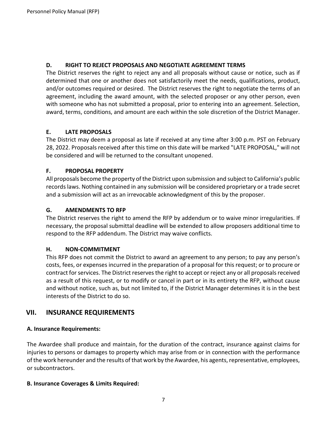### **D. RIGHT TO REJECT PROPOSALS AND NEGOTIATE AGREEMENT TERMS**

The District reserves the right to reject any and all proposals without cause or notice, such as if determined that one or another does not satisfactorily meet the needs, qualifications, product, and/or outcomes required or desired. The District reserves the right to negotiate the terms of an agreement, including the award amount, with the selected proposer or any other person, even with someone who has not submitted a proposal, prior to entering into an agreement. Selection, award, terms, conditions, and amount are each within the sole discretion of the District Manager.

## **E. LATE PROPOSALS**

The District may deem a proposal as late if received at any time after 3:00 p.m. PST on February 28, 2022. Proposals received after this time on this date will be marked "LATE PROPOSAL," will not be considered and will be returned to the consultant unopened.

## **F. PROPOSAL PROPERTY**

All proposals become the property of the District upon submission and subject to California's public records laws. Nothing contained in any submission will be considered proprietary or a trade secret and a submission will act as an irrevocable acknowledgment of this by the proposer.

### **G. AMENDMENTS TO RFP**

The District reserves the right to amend the RFP by addendum or to waive minor irregularities. If necessary, the proposal submittal deadline will be extended to allow proposers additional time to respond to the RFP addendum. The District may waive conflicts.

#### **H. NON-COMMITMENT**

This RFP does not commit the District to award an agreement to any person; to pay any person's costs, fees, or expenses incurred in the preparation of a proposal for this request; or to procure or contract for services. The District reserves the right to accept or reject any or all proposals received as a result of this request, or to modify or cancel in part or in its entirety the RFP, without cause and without notice, such as, but not limited to, if the District Manager determines it is in the best interests of the District to do so.

# **VII. INSURANCE REQUIREMENTS**

#### **A. Insurance Requirements:**

The Awardee shall produce and maintain, for the duration of the contract, insurance against claims for injuries to persons or damages to property which may arise from or in connection with the performance of the work hereunder and the results of that work by the Awardee, his agents, representative, employees, or subcontractors.

#### **B. Insurance Coverages & Limits Required:**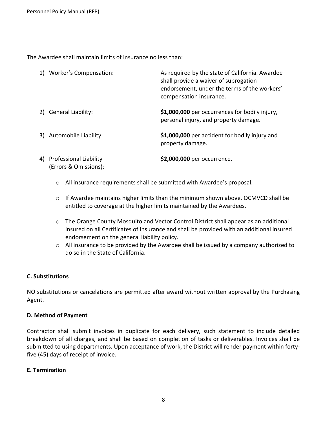The Awardee shall maintain limits of insurance no less than:

|    | 1) Worker's Compensation:                              | As required by the state of California. Awardee<br>shall provide a waiver of subrogation<br>endorsement, under the terms of the workers'<br>compensation insurance. |
|----|--------------------------------------------------------|---------------------------------------------------------------------------------------------------------------------------------------------------------------------|
| 2) | <b>General Liability:</b>                              | \$1,000,000 per occurrences for bodily injury,<br>personal injury, and property damage.                                                                             |
|    | 3) Automobile Liability:                               | \$1,000,000 per accident for bodily injury and<br>property damage.                                                                                                  |
| 4) | <b>Professional Liability</b><br>(Errors & Omissions): | \$2,000,000 per occurrence.                                                                                                                                         |

- o All insurance requirements shall be submitted with Awardee's proposal.
- $\circ$  If Awardee maintains higher limits than the minimum shown above, OCMVCD shall be entitled to coverage at the higher limits maintained by the Awardees.
- $\circ$  The Orange County Mosquito and Vector Control District shall appear as an additional insured on all Certificates of Insurance and shall be provided with an additional insured endorsement on the general liability policy.
- $\circ$  All insurance to be provided by the Awardee shall be issued by a company authorized to do so in the State of California.

## **C. Substitutions**

NO substitutions or cancelations are permitted after award without written approval by the Purchasing Agent.

#### **D. Method of Payment**

Contractor shall submit invoices in duplicate for each delivery, such statement to include detailed breakdown of all charges, and shall be based on completion of tasks or deliverables. Invoices shall be submitted to using departments. Upon acceptance of work, the District will render payment within fortyfive (45) days of receipt of invoice.

#### **E. Termination**